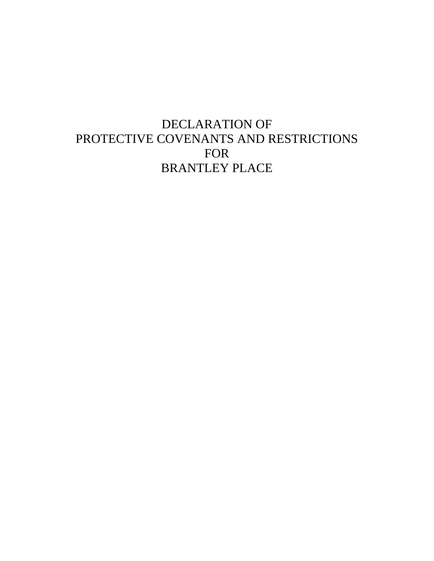# DECLARATION OF PROTECTIVE COVENANTS AND RESTRICTIONS FOR BRANTLEY PLACE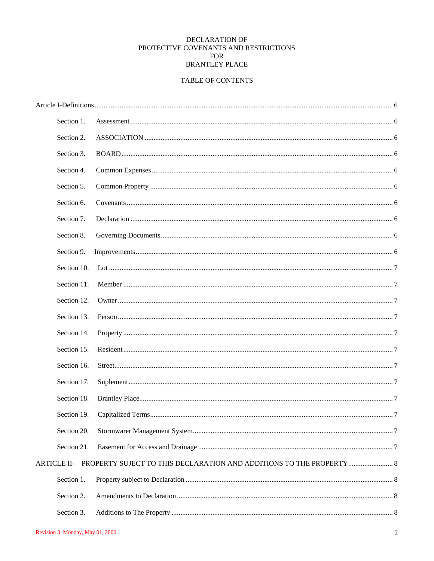# DECLARATION OF PROTECTIVE COVENANTS AND RESTRICTIONS **FOR BRANTLEY PLACE**

# **TABLE OF CONTENTS**

| Section 1.         |                                                                   |     |
|--------------------|-------------------------------------------------------------------|-----|
| Section 2.         |                                                                   |     |
| Section 3.         |                                                                   |     |
| Section 4.         |                                                                   |     |
| Section 5.         |                                                                   |     |
| Section 6.         |                                                                   |     |
| Section 7.         |                                                                   |     |
| Section 8.         |                                                                   |     |
| Section 9.         |                                                                   |     |
| Section 10.        |                                                                   |     |
| Section 11.        |                                                                   |     |
| Section 12.        |                                                                   |     |
| Section 13.        |                                                                   |     |
| Section 14.        |                                                                   |     |
| Section 15.        |                                                                   |     |
| Section 16.        |                                                                   |     |
| Section 17.        |                                                                   |     |
| Section 18.        |                                                                   |     |
| Section 19.        |                                                                   | . 7 |
| Section 20.        |                                                                   |     |
| Section 21.        |                                                                   |     |
| <b>ARTICLE II-</b> | PROPERTY SUJECT TO THIS DECLARATION AND ADDITIONS TO THE PROPERTY |     |
| Section 1.         |                                                                   |     |
| Section 2.         |                                                                   |     |
| Section 3.         |                                                                   |     |
|                    |                                                                   |     |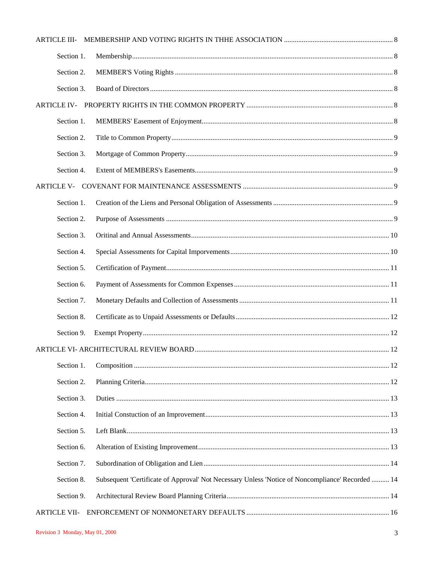| <b>ARTICLE III-</b> |                                                                                                  |  |
|---------------------|--------------------------------------------------------------------------------------------------|--|
| Section 1.          |                                                                                                  |  |
| Section 2.          |                                                                                                  |  |
| Section 3.          |                                                                                                  |  |
| ARTICLE IV-         |                                                                                                  |  |
| Section 1.          |                                                                                                  |  |
| Section 2.          |                                                                                                  |  |
| Section 3.          |                                                                                                  |  |
| Section 4.          |                                                                                                  |  |
|                     |                                                                                                  |  |
| Section 1.          |                                                                                                  |  |
| Section 2.          |                                                                                                  |  |
| Section 3.          |                                                                                                  |  |
| Section 4.          |                                                                                                  |  |
| Section 5.          |                                                                                                  |  |
| Section 6.          |                                                                                                  |  |
| Section 7.          |                                                                                                  |  |
| Section 8.          |                                                                                                  |  |
| Section 9.          |                                                                                                  |  |
|                     |                                                                                                  |  |
| Section 1.          |                                                                                                  |  |
| Section 2.          |                                                                                                  |  |
| Section 3.          |                                                                                                  |  |
| Section 4.          |                                                                                                  |  |
| Section 5.          |                                                                                                  |  |
| Section 6.          |                                                                                                  |  |
| Section 7.          |                                                                                                  |  |
| Section 8.          | Subsequent 'Certificate of Approval' Not Necessary Unless 'Notice of Noncompliance' Recorded  14 |  |
| Section 9.          |                                                                                                  |  |
| <b>ARTICLE VII-</b> |                                                                                                  |  |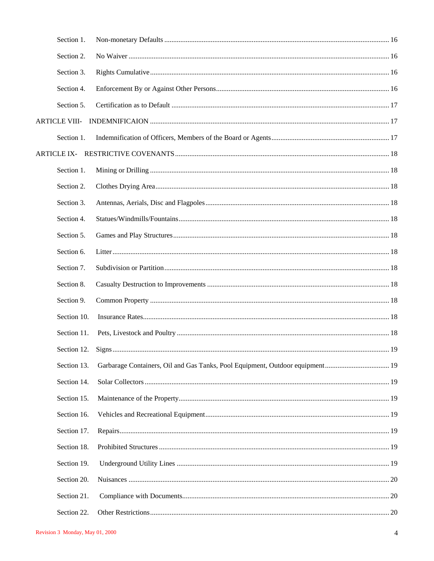| Section 1.           |  |
|----------------------|--|
| Section 2.           |  |
| Section 3.           |  |
| Section 4.           |  |
| Section 5.           |  |
| <b>ARTICLE VIII-</b> |  |
| Section 1.           |  |
| <b>ARTICLE IX-</b>   |  |
| Section 1.           |  |
| Section 2.           |  |
| Section 3.           |  |
| Section 4.           |  |
| Section 5.           |  |
| Section 6.           |  |
| Section 7.           |  |
| Section 8.           |  |
| Section 9.           |  |
| Section 10.          |  |
| Section 11.          |  |
| Section 12.          |  |
| Section 13.          |  |
| Section 14.          |  |
| Section 15.          |  |
| Section 16.          |  |
| Section 17.          |  |
| Section 18.          |  |
| Section 19.          |  |
| Section 20.          |  |
| Section 21.          |  |
| Section 22.          |  |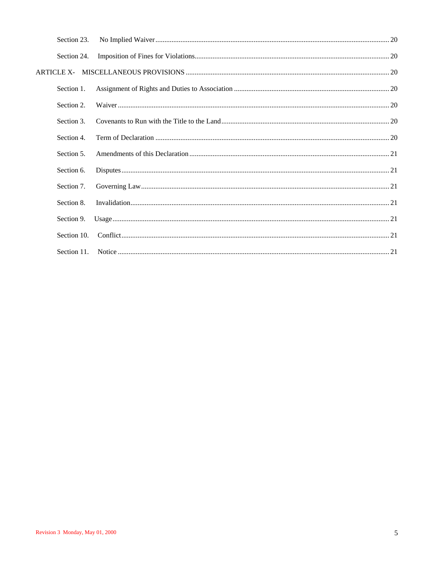| Section 23. |  |
|-------------|--|
| Section 24. |  |
|             |  |
| Section 1.  |  |
| Section 2.  |  |
| Section 3.  |  |
| Section 4.  |  |
| Section 5.  |  |
| Section 6.  |  |
| Section 7.  |  |
| Section 8.  |  |
| Section 9.  |  |
| Section 10. |  |
| Section 11. |  |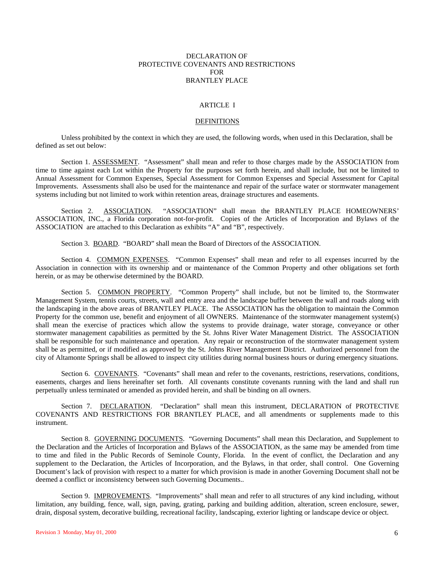#### DECLARATION OF PROTECTIVE COVENANTS AND RESTRICTIONS FOR BRANTLEY PLACE

#### ARTICLE I

#### DEFINITIONS

Unless prohibited by the context in which they are used, the following words, when used in this Declaration, shall be defined as set out below:

Section 1. ASSESSMENT. "Assessment" shall mean and refer to those charges made by the ASSOCIATION from time to time against each Lot within the Property for the purposes set forth herein, and shall include, but not be limited to Annual Assessment for Common Expenses, Special Assessment for Common Expenses and Special Assessment for Capital Improvements. Assessments shall also be used for the maintenance and repair of the surface water or stormwater management systems including but not limited to work within retention areas, drainage structures and easements.

Section 2. ASSOCIATION. "ASSOCIATION" shall mean the BRANTLEY PLACE HOMEOWNERS' ASSOCIATION, INC., a Florida corporation not-for-profit. Copies of the Articles of Incorporation and Bylaws of the ASSOCIATION are attached to this Declaration as exhibits "A" and "B", respectively.

Section 3. BOARD. "BOARD" shall mean the Board of Directors of the ASSOCIATION.

Section 4. COMMON EXPENSES. "Common Expenses" shall mean and refer to all expenses incurred by the Association in connection with its ownership and or maintenance of the Common Property and other obligations set forth herein, or as may be otherwise determined by the BOARD.

Section 5. COMMON PROPERTY. "Common Property" shall include, but not be limited to, the Stormwater Management System, tennis courts, streets, wall and entry area and the landscape buffer between the wall and roads along with the landscaping in the above areas of BRANTLEY PLACE. The ASSOCIATION has the obligation to maintain the Common Property for the common use, benefit and enjoyment of all OWNERS. Maintenance of the stormwater management system(s) shall mean the exercise of practices which allow the systems to provide drainage, water storage, conveyance or other stormwater management capabilities as permitted by the St. Johns River Water Management District. The ASSOCIATION shall be responsible for such maintenance and operation. Any repair or reconstruction of the stormwater management system shall be as permitted, or if modified as approved by the St. Johns River Management District. Authorized personnel from the city of Altamonte Springs shall be allowed to inspect city utilities during normal business hours or during emergency situations.

Section 6. COVENANTS. "Covenants" shall mean and refer to the covenants, restrictions, reservations, conditions, easements, charges and liens hereinafter set forth. All covenants constitute covenants running with the land and shall run perpetually unless terminated or amended as provided herein, and shall be binding on all owners.

Section 7. DECLARATION. "Declaration" shall mean this instrument, DECLARATION of PROTECTIVE COVENANTS AND RESTRICTIONS FOR BRANTLEY PLACE, and all amendments or supplements made to this instrument.

Section 8. GOVERNING DOCUMENTS. "Governing Documents" shall mean this Declaration, and Supplement to the Declaration and the Articles of Incorporation and Bylaws of the ASSOCIATION, as the same may be amended from time to time and filed in the Public Records of Seminole County, Florida. In the event of conflict, the Declaration and any supplement to the Declaration, the Articles of Incorporation, and the Bylaws, in that order, shall control. One Governing Document's lack of provision with respect to a matter for which provision is made in another Governing Document shall not be deemed a conflict or inconsistency between such Governing Documents..

Section 9. IMPROVEMENTS. "Improvements" shall mean and refer to all structures of any kind including, without limitation, any building, fence, wall, sign, paving, grating, parking and building addition, alteration, screen enclosure, sewer, drain, disposal system, decorative building, recreational facility, landscaping, exterior lighting or landscape device or object.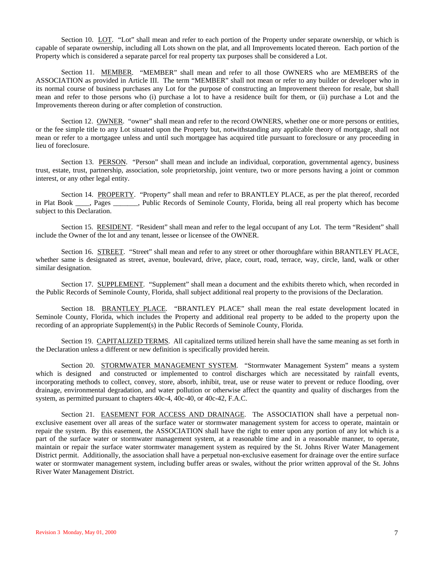Section 10. LOT. "Lot" shall mean and refer to each portion of the Property under separate ownership, or which is capable of separate ownership, including all Lots shown on the plat, and all Improvements located thereon. Each portion of the Property which is considered a separate parcel for real property tax purposes shall be considered a Lot.

Section 11. MEMBER. "MEMBER" shall mean and refer to all those OWNERS who are MEMBERS of the ASSOCIATION as provided in Article III. The term "MEMBER" shall not mean or refer to any builder or developer who in its normal course of business purchases any Lot for the purpose of constructing an Improvement thereon for resale, but shall mean and refer to those persons who (i) purchase a lot to have a residence built for them, or (ii) purchase a Lot and the Improvements thereon during or after completion of construction.

Section 12. OWNER. "owner" shall mean and refer to the record OWNERS, whether one or more persons or entities, or the fee simple title to any Lot situated upon the Property but, notwithstanding any applicable theory of mortgage, shall not mean or refer to a mortgagee unless and until such mortgagee has acquired title pursuant to foreclosure or any proceeding in lieu of foreclosure.

Section 13. PERSON. "Person" shall mean and include an individual, corporation, governmental agency, business trust, estate, trust, partnership, association, sole proprietorship, joint venture, two or more persons having a joint or common interest, or any other legal entity.

Section 14. PROPERTY. "Property" shall mean and refer to BRANTLEY PLACE, as per the plat thereof, recorded in Plat Book \_\_\_\_, Pages \_\_\_\_\_\_\_, Public Records of Seminole County, Florida, being all real property which has become subject to this Declaration.

Section 15. RESIDENT. "Resident" shall mean and refer to the legal occupant of any Lot. The term "Resident" shall include the Owner of the lot and any tenant, lessee or licensee of the OWNER.

Section 16. STREET. "Street" shall mean and refer to any street or other thoroughfare within BRANTLEY PLACE, whether same is designated as street, avenue, boulevard, drive, place, court, road, terrace, way, circle, land, walk or other similar designation.

Section 17. SUPPLEMENT. "Supplement" shall mean a document and the exhibits thereto which, when recorded in the Public Records of Seminole County, Florida, shall subject additional real property to the provisions of the Declaration.

Section 18. BRANTLEY PLACE. "BRANTLEY PLACE" shall mean the real estate development located in Seminole County, Florida, which includes the Property and additional real property to be added to the property upon the recording of an appropriate Supplement(s) in the Public Records of Seminole County, Florida.

Section 19. CAPITALIZED TERMS. All capitalized terms utilized herein shall have the same meaning as set forth in the Declaration unless a different or new definition is specifically provided herein.

Section 20. STORMWATER MANAGEMENT SYSTEM. "Stormwater Management System" means a system which is designed and constructed or implemented to control discharges which are necessitated by rainfall events, incorporating methods to collect, convey, store, absorb, inhibit, treat, use or reuse water to prevent or reduce flooding, over drainage, environmental degradation, and water pollution or otherwise affect the quantity and quality of discharges from the system, as permitted pursuant to chapters 40c-4, 40c-40, or 40c-42, F.A.C.

Section 21. EASEMENT FOR ACCESS AND DRAINAGE. The ASSOCIATION shall have a perpetual nonexclusive easement over all areas of the surface water or stormwater management system for access to operate, maintain or repair the system. By this easement, the ASSOCIATION shall have the right to enter upon any portion of any lot which is a part of the surface water or stormwater management system, at a reasonable time and in a reasonable manner, to operate, maintain or repair the surface water stormwater management system as required by the St. Johns River Water Management District permit. Additionally, the association shall have a perpetual non-exclusive easement for drainage over the entire surface water or stormwater management system, including buffer areas or swales, without the prior written approval of the St. Johns River Water Management District.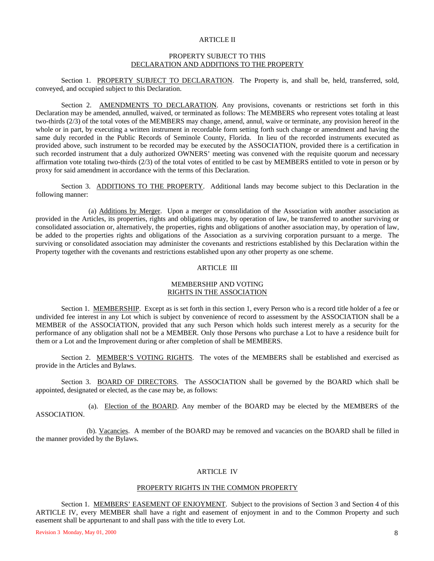#### ARTICLE II

#### PROPERTY SUBJECT TO THIS DECLARATION AND ADDITIONS TO THE PROPERTY

Section 1. PROPERTY SUBJECT TO DECLARATION. The Property is, and shall be, held, transferred, sold, conveyed, and occupied subject to this Declaration.

Section 2. AMENDMENTS TO DECLARATION. Any provisions, covenants or restrictions set forth in this Declaration may be amended, annulled, waived, or terminated as follows: The MEMBERS who represent votes totaling at least two-thirds (2/3) of the total votes of the MEMBERS may change, amend, annul, waive or terminate, any provision hereof in the whole or in part, by executing a written instrument in recordable form setting forth such change or amendment and having the same duly recorded in the Public Records of Seminole County, Florida. In lieu of the recorded instruments executed as provided above, such instrument to be recorded may be executed by the ASSOCIATION, provided there is a certification in such recorded instrument that a duly authorized OWNERS' meeting was convened with the requisite quorum and necessary affirmation vote totaling two-thirds (2/3) of the total votes of entitled to be cast by MEMBERS entitled to vote in person or by proxy for said amendment in accordance with the terms of this Declaration.

Section 3. ADDITIONS TO THE PROPERTY. Additional lands may become subject to this Declaration in the following manner:

 (a) Additions by Merger. Upon a merger or consolidation of the Association with another association as provided in the Articles, its properties, rights and obligations may, by operation of law, be transferred to another surviving or consolidated association or, alternatively, the properties, rights and obligations of another association may, by operation of law, be added to the properties rights and obligations of the Association as a surviving corporation pursuant to a merge. The surviving or consolidated association may administer the covenants and restrictions established by this Declaration within the Property together with the covenants and restrictions established upon any other property as one scheme.

#### ARTICLE III

#### MEMBERSHIP AND VOTING RIGHTS IN THE ASSOCIATION

Section 1. MEMBERSHIP. Except as is set forth in this section 1, every Person who is a record title holder of a fee or undivided fee interest in any Lot which is subject by convenience of record to assessment by the ASSOCIATION shall be a MEMBER of the ASSOCIATION, provided that any such Person which holds such interest merely as a security for the performance of any obligation shall not be a MEMBER. Only those Persons who purchase a Lot to have a residence built for them or a Lot and the Improvement during or after completion of shall be MEMBERS.

Section 2. MEMBER'S VOTING RIGHTS. The votes of the MEMBERS shall be established and exercised as provide in the Articles and Bylaws.

Section 3. BOARD OF DIRECTORS. The ASSOCIATION shall be governed by the BOARD which shall be appointed, designated or elected, as the case may be, as follows:

 (a). Election of the BOARD. Any member of the BOARD may be elected by the MEMBERS of the ASSOCIATION.

(b). Vacancies. A member of the BOARD may be removed and vacancies on the BOARD shall be filled in the manner provided by the Bylaws.

## ARTICLE IV

#### PROPERTY RIGHTS IN THE COMMON PROPERTY

Section 1. MEMBERS' EASEMENT OF ENJOYMENT. Subject to the provisions of Section 3 and Section 4 of this ARTICLE IV, every MEMBER shall have a right and easement of enjoyment in and to the Common Property and such easement shall be appurtenant to and shall pass with the title to every Lot.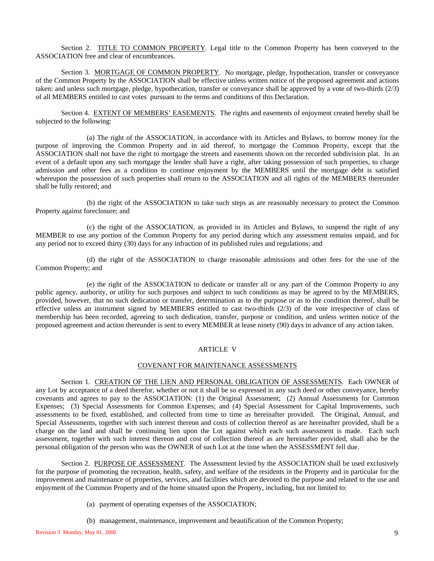Section 2. TITLE TO COMMON PROPERTY. Legal title to the Common Property has been conveyed to the ASSOCIATION free and clear of encumbrances.

Section 3. MORTGAGE OF COMMON PROPERTY. No mortgage, pledge, hypothecation, transfer or conveyance of the Common Property by the ASSOCIATION shall be effective unless written notice of the proposed agreement and actions taken: and unless such mortgage, pledge, hypothecation, transfer or conveyance shall be approved by a vote of two-thirds (2/3) of all MEMBERS entitled to cast votes pursuant to the terms and conditions of this Declaration.

Section 4. EXTENT OF MEMBERS' EASEMENTS. The rights and easements of enjoyment created hereby shall be subjected to the following:

(a) The right of the ASSOCIATION, in accordance with its Articles and Bylaws, to borrow money for the purpose of improving the Common Property and in aid thereof, to mortgage the Common Property, except that the ASSOCIATION shall not have the right to mortgage the streets and easements shown on the recorded subdivision plat. In an event of a default upon any such mortgage the lender shall have a right, after taking possession of such properties, to charge admission and other fees as a condition to continue enjoyment by the MEMBERS until the mortgage debt is satisfied whereupon the possession of such properties shall return to the ASSOCIATION and all rights of the MEMBERS thereunder shall be fully restored; and

(b) the right of the ASSOCIATION to take such steps as are reasonably necessary to protect the Common Property against foreclosure; and

(c) the right of the ASSOCIATION, as provided in its Articles and Bylaws, to suspend the right of any MEMBER to use any portion of the Common Property for any period during which any assessment remains unpaid, and for any period not to exceed thirty (30) days for any infraction of its published rules and regulations; and

(d) the right of the ASSOCIATION to charge reasonable admissions and other fees for the use of the Common Property; and

(e) the right of the ASSOCIATION to dedicate or transfer all or any part of the Common Property to any public agency, authority, or utility for such purposes and subject to such conditions as may be agreed to by the MEMBERS, provided, however, that no such dedication or transfer, determination as to the purpose or as to the condition thereof, shall be effective unless an instrument signed by MEMBERS entitled to cast two-thirds (2/3) of the vote irrespective of class of membership has been recorded, agreeing to such dedication, transfer, purpose or condition, and unless written notice of the proposed agreement and action thereunder is sent to every MEMBER at lease ninety (90) days in advance of any action taken.

#### ARTICLE V

#### COVENANT FOR MAINTENANCE ASSESSMENTS

Section 1. CREATION OF THE LIEN AND PERSONAL OBLIGATION OF ASSESSMENTS. Each OWNER of any Lot by acceptance of a deed therefor, whether or not it shall be so expressed in any such deed or other conveyance, hereby covenants and agrees to pay to the ASSOCIATION: (1) the Original Assessment; (2) Annual Assessments for Common Expenses; (3) Special Assessments for Common Expenses; and (4) Special Assessment for Capital Improvements, such assessments to be fixed, established, and collected from time to time as hereinafter provided. The Original, Annual, and Special Assessments, together with such interest thereon and costs of collection thereof as are hereinafter provided, shall be a charge on the land and shall be continuing lien upon the Lot against which each such assessment is made. Each such assessment, together with such interest thereon and cost of collection thereof as are hereinafter provided, shall also be the personal obligation of the person who was the OWNER of such Lot at the time when the ASSESSMENT fell due.

Section 2. PURPOSE OF ASSESSMENT. The Assessment levied by the ASSOCIATION shall be used exclusively for the purpose of promoting the recreation, health, safety, and welfare of the residents in the Property and in particular for the improvement and maintenance of properties, services, and facilities which are devoted to the purpose and related to the use and enjoyment of the Common Property and of the home situated upon the Property, including, but not limited to:

- (a) payment of operating expenses of the ASSOCIATION;
- (b) management, maintenance, improvement and beautification of the Common Property;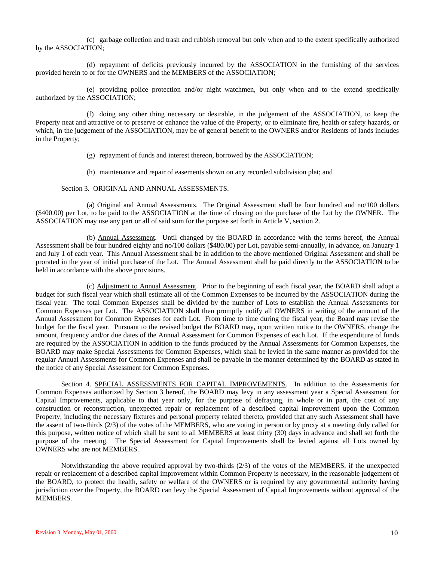(c) garbage collection and trash and rubbish removal but only when and to the extent specifically authorized by the ASSOCIATION;

(d) repayment of deficits previously incurred by the ASSOCIATION in the furnishing of the services provided herein to or for the OWNERS and the MEMBERS of the ASSOCIATION;

(e) providing police protection and/or night watchmen, but only when and to the extend specifically authorized by the ASSOCIATION;

(f) doing any other thing necessary or desirable, in the judgement of the ASSOCIATION, to keep the Property neat and attractive or to preserve or enhance the value of the Property, or to eliminate fire, health or safety hazards, or which, in the judgement of the ASSOCIATION, may be of general benefit to the OWNERS and/or Residents of lands includes in the Property;

(g) repayment of funds and interest thereon, borrowed by the ASSOCIATION;

(h) maintenance and repair of easements shown on any recorded subdivision plat; and

#### Section 3. ORIGINAL AND ANNUAL ASSESSMENTS.

(a) Original and Annual Assessments. The Original Assessment shall be four hundred and no/100 dollars (\$400.00) per Lot, to be paid to the ASSOCIATION at the time of closing on the purchase of the Lot by the OWNER. The ASSOCIATION may use any part or all of said sum for the purpose set forth in Article V, section 2.

(b) Annual Assessment. Until changed by the BOARD in accordance with the terms hereof, the Annual Assessment shall be four hundred eighty and no/100 dollars (\$480.00) per Lot, payable semi-annually, in advance, on January 1 and July 1 of each year. This Annual Assessment shall be in addition to the above mentioned Original Assessment and shall be prorated in the year of initial purchase of the Lot. The Annual Assessment shall be paid directly to the ASSOCIATION to be held in accordance with the above provisions.

(c) Adjustment to Annual Assessment. Prior to the beginning of each fiscal year, the BOARD shall adopt a budget for such fiscal year which shall estimate all of the Common Expenses to be incurred by the ASSOCIATION during the fiscal year. The total Common Expenses shall be divided by the number of Lots to establish the Annual Assessments for Common Expenses per Lot. The ASSOCIATION shall then promptly notify all OWNERS in writing of the amount of the Annual Assessment for Common Expenses for each Lot. From time to time during the fiscal year, the Board may revise the budget for the fiscal year. Pursuant to the revised budget the BOARD may, upon written notice to the OWNERS, change the amount, frequency and/or due dates of the Annual Assessment for Common Expenses of each Lot. If the expenditure of funds are required by the ASSOCIATION in addition to the funds produced by the Annual Assessments for Common Expenses, the BOARD may make Special Assessments for Common Expenses, which shall be levied in the same manner as provided for the regular Annual Assessments for Common Expenses and shall be payable in the manner determined by the BOARD as stated in the notice of any Special Assessment for Common Expenses.

Section 4. SPECIAL ASSESSMENTS FOR CAPITAL IMPROVEMENTS. In addition to the Assessments for Common Expenses authorized by Section 3 hereof, the BOARD may levy in any assessment year a Special Assessment for Capital Improvements, applicable to that year only, for the purpose of defraying, in whole or in part, the cost of any construction or reconstruction, unexpected repair or replacement of a described capital improvement upon the Common Property, including the necessary fixtures and personal property related thereto, provided that any such Assessment shall have the assent of two-thirds (2/3) of the votes of the MEMBERS, who are voting in person or by proxy at a meeting duly called for this purpose, written notice of which shall be sent to all MEMBERS at least thirty (30) days in advance and shall set forth the purpose of the meeting. The Special Assessment for Capital Improvements shall be levied against all Lots owned by OWNERS who are not MEMBERS.

Notwithstanding the above required approval by two-thirds (2/3) of the votes of the MEMBERS, if the unexpected repair or replacement of a described capital improvement within Common Property is necessary, in the reasonable judgement of the BOARD, to protect the health, safety or welfare of the OWNERS or is required by any governmental authority having jurisdiction over the Property, the BOARD can levy the Special Assessment of Capital Improvements without approval of the MEMBERS.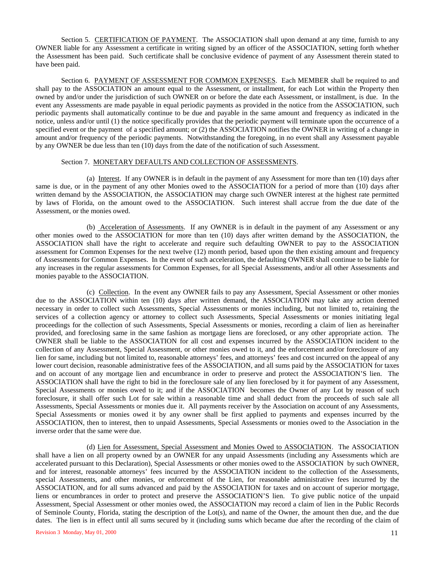Section 5. CERTIFICATION OF PAYMENT. The ASSOCIATION shall upon demand at any time, furnish to any OWNER liable for any Assessment a certificate in writing signed by an officer of the ASSOCIATION, setting forth whether the Assessment has been paid. Such certificate shall be conclusive evidence of payment of any Assessment therein stated to have been paid.

Section 6. PAYMENT OF ASSESSMENT FOR COMMON EXPENSES. Each MEMBER shall be required to and shall pay to the ASSOCIATION an amount equal to the Assessment, or installment, for each Lot within the Property then owned by and/or under the jurisdiction of such OWNER on or before the date each Assessment, or installment, is due. In the event any Assessments are made payable in equal periodic payments as provided in the notice from the ASSOCIATION, such periodic payments shall automatically continue to be due and payable in the same amount and frequency as indicated in the notice, unless and/or until (1) the notice specifically provides that the periodic payment will terminate upon the occurrence of a specified event or the payment of a specified amount; or (2) the ASSOCIATION notifies the OWNER in writing of a change in amount and/or frequency of the periodic payments. Notwithstanding the foregoing, in no event shall any Assessment payable by any OWNER be due less than ten (10) days from the date of the notification of such Assessment.

#### Section 7. MONETARY DEFAULTS AND COLLECTION OF ASSESSMENTS.

(a) Interest. If any OWNER is in default in the payment of any Assessment for more than ten (10) days after same is due, or in the payment of any other Monies owed to the ASSOCIATION for a period of more than (10) days after written demand by the ASSOCIATION, the ASSOCIATION may charge such OWNER interest at the highest rate permitted by laws of Florida, on the amount owed to the ASSOCIATION. Such interest shall accrue from the due date of the Assessment, or the monies owed.

(b) Acceleration of Assessments. If any OWNER is in default in the payment of any Assessment or any other monies owed to the ASSOCIATION for more than ten (10) days after written demand by the ASSOCIATION, the ASSOCIATION shall have the right to accelerate and require such defaulting OWNER to pay to the ASSOCIATION assessment for Common Expenses for the next twelve (12) month period, based upon the then existing amount and frequency of Assessments for Common Expenses. In the event of such acceleration, the defaulting OWNER shall continue to be liable for any increases in the regular assessments for Common Expenses, for all Special Assessments, and/or all other Assessments and monies payable to the ASSOCIATION.

(c) Collection. In the event any OWNER fails to pay any Assessment, Special Assessment or other monies due to the ASSOCIATION within ten (10) days after written demand, the ASSOCIATION may take any action deemed necessary in order to collect such Assessments, Special Assessments or monies including, but not limited to, retaining the services of a collection agency or attorney to collect such Assessments, Special Assessments or monies initiating legal proceedings for the collection of such Assessments, Special Assessments or monies, recording a claim of lien as hereinafter provided, and foreclosing same in the same fashion as mortgage liens are foreclosed, or any other appropriate action. The OWNER shall be liable to the ASSOCIATION for all cost and expenses incurred by the ASSOCIATION incident to the collection of any Assessment, Special Assessment, or other monies owed to it, and the enforcement and/or foreclosure of any lien for same, including but not limited to, reasonable attorneys' fees, and attorneys' fees and cost incurred on the appeal of any lower court decision, reasonable administrative fees of the ASSOCIATION, and all sums paid by the ASSOCIATION for taxes and on account of any mortgage lien and encumbrance in order to preserve and protect the ASSOCIATION'S lien. The ASSOCIATION shall have the right to bid in the foreclosure sale of any lien foreclosed by it for payment of any Assessment, Special Assessments or monies owed to it; and if the ASSOCIATION becomes the Owner of any Lot by reason of such foreclosure, it shall offer such Lot for sale within a reasonable time and shall deduct from the proceeds of such sale all Assessments, Special Assessments or monies due it. All payments receiver by the Association on account of any Assessments, Special Assessments or monies owed it by any owner shall be first applied to payments and expenses incurred by the ASSOCIATION, then to interest, then to unpaid Assessments, Special Assessments or monies owed to the Association in the inverse order that the same were due.

(d) Lien for Assessment, Special Assessment and Monies Owed to ASSOCIATION. The ASSOCIATION shall have a lien on all property owned by an OWNER for any unpaid Assessments (including any Assessments which are accelerated pursuant to this Declaration), Special Assessments or other monies owed to the ASSOCIATION by such OWNER, and for interest, reasonable attorneys' fees incurred by the ASSOCIATION incident to the collection of the Assessments, special Assessments, and other monies, or enforcement of the Lien, for reasonable administrative fees incurred by the ASSOCIATION, and for all sums advanced and paid by the ASSOCIATION for taxes and on account of superior mortgage, liens or encumbrances in order to protect and preserve the ASSOCIATION'S lien. To give public notice of the unpaid Assessment, Special Assessment or other monies owed, the ASSOCIATION may record a claim of lien in the Public Records of Seminole County, Florida, stating the description of the Lot(s), and name of the Owner, the amount then due, and the due dates. The lien is in effect until all sums secured by it (including sums which became due after the recording of the claim of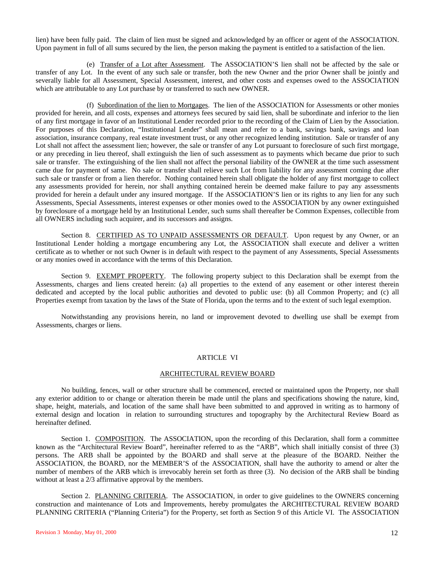lien) have been fully paid. The claim of lien must be signed and acknowledged by an officer or agent of the ASSOCIATION. Upon payment in full of all sums secured by the lien, the person making the payment is entitled to a satisfaction of the lien.

(e) Transfer of a Lot after Assessment. The ASSOCIATION'S lien shall not be affected by the sale or transfer of any Lot. In the event of any such sale or transfer, both the new Owner and the prior Owner shall be jointly and severally liable for all Assessment, Special Assessment, interest, and other costs and expenses owed to the ASSOCIATION which are attributable to any Lot purchase by or transferred to such new OWNER.

(f) Subordination of the lien to Mortgages. The lien of the ASSOCIATION for Assessments or other monies provided for herein, and all costs, expenses and attorneys fees secured by said lien, shall be subordinate and inferior to the lien of any first mortgage in favor of an Institutional Lender recorded prior to the recording of the Claim of Lien by the Association. For purposes of this Declaration, "Institutional Lender" shall mean and refer to a bank, savings bank, savings and loan association, insurance company, real estate investment trust, or any other recognized lending institution. Sale or transfer of any Lot shall not affect the assessment lien; however, the sale or transfer of any Lot pursuant to foreclosure of such first mortgage, or any preceding in lieu thereof, shall extinguish the lien of such assessment as to payments which became due prior to such sale or transfer. The extinguishing of the lien shall not affect the personal liability of the OWNER at the time such assessment came due for payment of same. No sale or transfer shall relieve such Lot from liability for any assessment coming due after such sale or transfer or from a lien therefor. Nothing contained herein shall obligate the holder of any first mortgage to collect any assessments provided for herein, nor shall anything contained herein be deemed make failure to pay any assessments provided for herein a default under any insured mortgage. If the ASSOCIATION'S lien or its rights to any lien for any such Assessments, Special Assessments, interest expenses or other monies owed to the ASSOCIATION by any owner extinguished by foreclosure of a mortgage held by an Institutional Lender, such sums shall thereafter be Common Expenses, collectible from all OWNERS including such acquirer, and its successors and assigns.

Section 8. CERTIFIED AS TO UNPAID ASSESSMENTS OR DEFAULT. Upon request by any Owner, or an Institutional Lender holding a mortgage encumbering any Lot, the ASSOCIATION shall execute and deliver a written certificate as to whether or not such Owner is in default with respect to the payment of any Assessments, Special Assessments or any monies owed in accordance with the terms of this Declaration.

Section 9. EXEMPT PROPERTY. The following property subject to this Declaration shall be exempt from the Assessments, charges and liens created herein: (a) all properties to the extend of any easement or other interest therein dedicated and accepted by the local public authorities and devoted to public use: (b) all Common Property; and (c) all Properties exempt from taxation by the laws of the State of Florida, upon the terms and to the extent of such legal exemption.

Notwithstanding any provisions herein, no land or improvement devoted to dwelling use shall be exempt from Assessments, charges or liens.

#### ARTICLE VI

## ARCHITECTURAL REVIEW BOARD

No building, fences, wall or other structure shall be commenced, erected or maintained upon the Property, nor shall any exterior addition to or change or alteration therein be made until the plans and specifications showing the nature, kind, shape, height, materials, and location of the same shall have been submitted to and approved in writing as to harmony of external design and location in relation to surrounding structures and topography by the Architectural Review Board as hereinafter defined.

Section 1. COMPOSITION. The ASSOCIATION, upon the recording of this Declaration, shall form a committee known as the "Architectural Review Board", hereinafter referred to as the "ARB", which shall initially consist of three (3) persons. The ARB shall be appointed by the BOARD and shall serve at the pleasure of the BOARD. Neither the ASSOCIATION, the BOARD, nor the MEMBER'S of the ASSOCIATION, shall have the authority to amend or alter the number of members of the ARB which is irrevocably herein set forth as three (3). No decision of the ARB shall be binding without at least a 2/3 affirmative approval by the members.

Section 2. PLANNING CRITERIA. The ASSOCIATION, in order to give guidelines to the OWNERS concerning construction and maintenance of Lots and Improvements, hereby promulgates the ARCHITECTURAL REVIEW BOARD PLANNING CRITERIA ("Planning Criteria") for the Property, set forth as Section 9 of this Article VI. The ASSOCIATION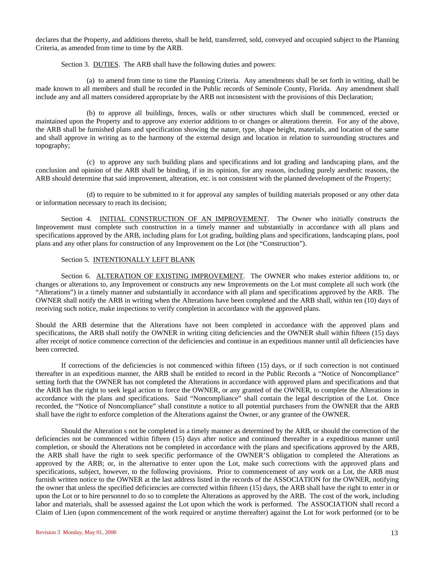declares that the Property, and additions thereto, shall be held, transferred, sold, conveyed and occupied subject to the Planning Criteria, as amended from time to time by the ARB.

Section 3. DUTIES. The ARB shall have the following duties and powers:

(a) to amend from time to time the Planning Criteria. Any amendments shall be set forth in writing, shall be made known to all members and shall be recorded in the Public records of Seminole County, Florida. Any amendment shall include any and all matters considered appropriate by the ARB not inconsistent with the provisions of this Declaration;

(b) to approve all buildings, fences, walls or other structures which shall be commenced, erected or maintained upon the Property and to approve any exterior additions to or changes or alterations therein. For any of the above, the ARB shall be furnished plans and specification showing the nature, type, shape height, materials, and location of the same and shall approve in writing as to the harmony of the external design and location in relation to surrounding structures and topography;

(c) to approve any such building plans and specifications and lot grading and landscaping plans, and the conclusion and opinion of the ARB shall be binding, if in its opinion, for any reason, including purely aesthetic reasons, the ARB should determine that said improvement, alteration, etc. is not consistent with the planned development of the Property;

(d) to require to be submitted to it for approval any samples of building materials proposed or any other data or information necessary to reach its decision;

Section 4. INITIAL CONSTRUCTION OF AN IMPROVEMENT. The Owner who initially constructs the Improvement must complete such construction in a timely manner and substantially in accordance with all plans and specifications approved by the ARB, including plans for Lot grading, building plans and specifications, landscaping plans, pool plans and any other plans for construction of any Improvement on the Lot (the "Construction").

#### Section 5. INTENTIONALLY LEFT BLANK

Section 6. ALTERATION OF EXISTING IMPROVEMENT. The OWNER who makes exterior additions to, or changes or alterations to, any Improvement or constructs any new Improvements on the Lot must complete all such work (the "Alterations") in a timely manner and substantially in accordance with all plans and specifications approved by the ARB. The OWNER shall notify the ARB in writing when the Alterations have been completed and the ARB shall, within ten (10) days of receiving such notice, make inspections to verify completion in accordance with the approved plans.

Should the ARB determine that the Alterations have not been completed in accordance with the approved plans and specifications, the ARB shall notify the OWNER in writing citing deficiencies and the OWNER shall within fifteen (15) days after receipt of notice commence correction of the deficiencies and continue in an expeditious manner until all deficiencies have been corrected.

If corrections of the deficiencies is not commenced within fifteen (15) days, or if such correction is not continued thereafter in an expeditious manner, the ARB shall be entitled to record in the Public Records a "Notice of Noncompliance" setting forth that the OWNER has not completed the Alterations in accordance with approved plans and specifications and that the ARB has the right to seek legal action to force the OWNER, or any granted of the OWNER, to complete the Alterations in accordance with the plans and specifications. Said "Noncompliance" shall contain the legal description of the Lot. Once recorded, the "Notice of Noncompliance" shall constitute a notice to all potential purchasers from the OWNER that the ARB shall have the right to enforce completion of the Alterations against the Owner, or any grantee of the OWNER.

Should the Alteration s not be completed in a timely manner as determined by the ARB, or should the correction of the deficiencies not be commenced within fifteen (15) days after notice and continued thereafter in a expeditious manner until completion, or should the Alterations not be completed in accordance with the plans and specifications approved by the ARB, the ARB shall have the right to seek specific performance of the OWNER'S obligation to completed the Alterations as approved by the ARB; or, in the alternative to enter upon the Lot, make such corrections with the approved plans and specifications, subject, however, to the following provisions. Prior to commencement of any work on a Lot, the ARB must furnish written notice to the OWNER at the last address listed in the records of the ASSOCIATION for the OWNER, notifying the owner that unless the specified deficiencies are corrected within fifteen (15) days, the ARB shall have the right to enter in or upon the Lot or to hire personnel to do so to complete the Alterations as approved by the ARB. The cost of the work, including labor and materials, shall be assessed against the Lot upon which the work is performed. The ASSOCIATION shall record a Claim of Lien (upon commencement of the work required or anytime thereafter) against the Lot for work performed (or to be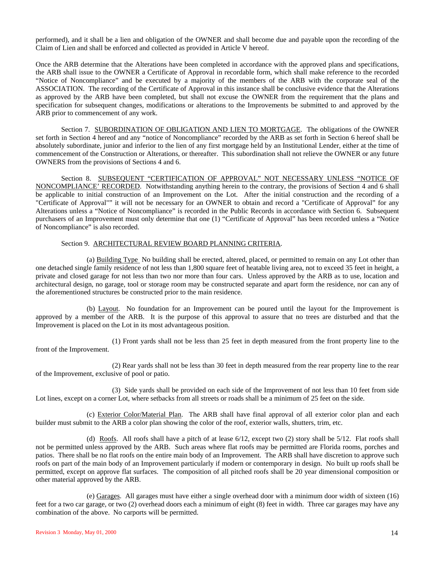performed), and it shall be a lien and obligation of the OWNER and shall become due and payable upon the recording of the Claim of Lien and shall be enforced and collected as provided in Article V hereof.

Once the ARB determine that the Alterations have been completed in accordance with the approved plans and specifications, the ARB shall issue to the OWNER a Certificate of Approval in recordable form, which shall make reference to the recorded "Notice of Noncompliance" and be executed by a majority of the members of the ARB with the corporate seal of the ASSOCIATION. The recording of the Certificate of Approval in this instance shall be conclusive evidence that the Alterations as approved by the ARB have been completed, but shall not excuse the OWNER from the requirement that the plans and specification for subsequent changes, modifications or alterations to the Improvements be submitted to and approved by the ARB prior to commencement of any work.

Section 7. SUBORDINATION OF OBLIGATION AND LIEN TO MORTGAGE. The obligations of the OWNER set forth in Section 4 hereof and any "notice of Noncompliance" recorded by the ARB as set forth in Section 6 hereof shall be absolutely subordinate, junior and inferior to the lien of any first mortgage held by an Institutional Lender, either at the time of commencement of the Construction or Alterations, or thereafter. This subordination shall not relieve the OWNER or any future OWNERS from the provisions of Sections 4 and 6.

Section 8. SUBSEQUENT "CERTIFICATION OF APPROVAL" NOT NECESSARY UNLESS "NOTICE OF NONCOMPLIANCE' RECORDED. Notwithstanding anything herein to the contrary, the provisions of Section 4 and 6 shall be applicable to initial construction of an Improvement on the Lot. After the initial construction and the recording of a "Certificate of Approval"" it will not be necessary for an OWNER to obtain and record a "Certificate of Approval" for any Alterations unless a "Notice of Noncompliance" is recorded in the Public Records in accordance with Section 6. Subsequent purchasers of an Improvement must only determine that one (1) "Certificate of Approval" has been recorded unless a "Notice of Noncompliance" is also recorded.

#### Section 9. ARCHITECTURAL REVIEW BOARD PLANNING CRITERIA.

(a) Building Type No building shall be erected, altered, placed, or permitted to remain on any Lot other than one detached single family residence of not less than 1,800 square feet of heatable living area, not to exceed 35 feet in height, a private and closed garage for not less than two nor more than four cars. Unless approved by the ARB as to use, location and architectural design, no garage, tool or storage room may be constructed separate and apart form the residence, nor can any of the aforementioned structures be constructed prior to the main residence.

(b) Layout. No foundation for an Improvement can be poured until the layout for the Improvement is approved by a member of the ARB. It is the purpose of this approval to assure that no trees are disturbed and that the Improvement is placed on the Lot in its most advantageous position.

(1) Front yards shall not be less than 25 feet in depth measured from the front property line to the front of the Improvement.

(2) Rear yards shall not be less than 30 feet in depth measured from the rear property line to the rear of the Improvement, exclusive of pool or patio.

(3) Side yards shall be provided on each side of the Improvement of not less than 10 feet from side Lot lines, except on a corner Lot, where setbacks from all streets or roads shall be a minimum of 25 feet on the side.

(c) Exterior Color/Material Plan. The ARB shall have final approval of all exterior color plan and each builder must submit to the ARB a color plan showing the color of the roof, exterior walls, shutters, trim, etc.

(d) Roofs. All roofs shall have a pitch of at lease 6/12, except two (2) story shall be 5/12. Flat roofs shall not be permitted unless approved by the ARB. Such areas where flat roofs may be permitted are Florida rooms, porches and patios. There shall be no flat roofs on the entire main body of an Improvement. The ARB shall have discretion to approve such roofs on part of the main body of an Improvement particularly if modern or contemporary in design. No built up roofs shall be permitted, except on approve flat surfaces. The composition of all pitched roofs shall be 20 year dimensional composition or other material approved by the ARB.

(e) Garages. All garages must have either a single overhead door with a minimum door width of sixteen (16) feet for a two car garage, or two (2) overhead doors each a minimum of eight (8) feet in width. Three car garages may have any combination of the above. No carports will be permitted.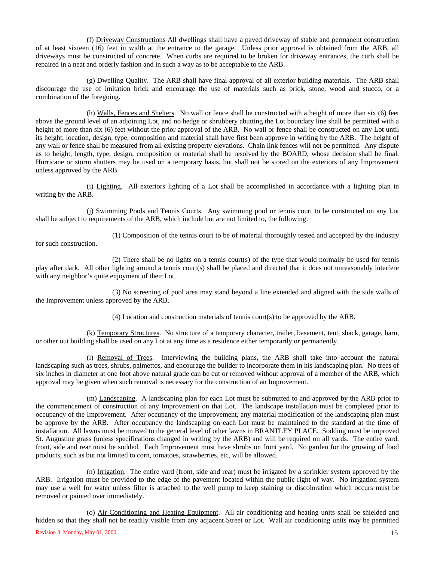(f) Driveway Constructions All dwellings shall have a paved driveway of stable and permanent construction of at least sixteen (16) feet in width at the entrance to the garage. Unless prior approval is obtained from the ARB, all driveways must be constructed of concrete. When curbs are required to be broken for driveway entrances, the curb shall be repaired in a neat and orderly fashion and in such a way as to be acceptable to the ARB.

(g) Dwelling Quality. The ARB shall have final approval of all exterior building materials. The ARB shall discourage the use of imitation brick and encourage the use of materials such as brick, stone, wood and stucco, or a combination of the foregoing.

(h) Walls, Fences and Shelters. No wall or fence shall be constructed with a height of more than six (6) feet above the ground level of an adjoining Lot, and no hedge or shrubbery abutting the Lot boundary line shall be permitted with a height of more than six (6) feet without the prior approval of the ARB. No wall or fence shall be constructed on any Lot until its height, location, design, type, composition and material shall have first been approve in writing by the ARB. The height of any wall or fence shall be measured from all existing property elevations. Chain link fences will not be permitted. Any dispute as to height, length, type, design, composition or material shall be resolved by the BOARD, whose decision shall be final. Hurricane or storm shutters may be used on a temporary basis, but shall not be stored on the exteriors of any Improvement unless approved by the ARB.

(i) Lighting. All exteriors lighting of a Lot shall be accomplished in accordance with a lighting plan in writing by the ARB.

(j) Swimming Pools and Tennis Courts. Any swimming pool or tennis court to be constructed on any Lot shall be subject to requirements of the ARB, which include but are not limited to, the following:

(1) Composition of the tennis court to be of material thoroughly tested and accepted by the industry

for such construction.

(2) There shall be no lights on a tennis court(s) of the type that would normally be used for tennis play after dark. All other lighting around a tennis court(s) shall be placed and directed that it does not unreasonably interfere with any neighbor's quite enjoyment of their Lot.

(3) No screening of pool area may stand beyond a line extended and aligned with the side walls of the Improvement unless approved by the ARB.

(4) Location and construction materials of tennis court(s) to be approved by the ARB.

(k) Temporary Structures. No structure of a temporary character, trailer, basement, tent, shack, garage, barn, or other out building shall be used on any Lot at any time as a residence either temporarily or permanently.

(l) Removal of Trees. Interviewing the building plans, the ARB shall take into account the natural landscaping such as trees, shrubs, palmettos, and encourage the builder to incorporate them in his landscaping plan. No trees of six inches in diameter at one foot above natural grade can be cut or removed without approval of a member of the ARB, which approval may be given when such removal is necessary for the construction of an Improvement.

(m) Landscaping. A landscaping plan for each Lot must be submitted to and approved by the ARB prior to the commencement of construction of any Improvement on that Lot. The landscape installation must be completed prior to occupancy of the Improvement. After occupancy of the Improvement, any material modification of the landscaping plan must be approve by the ARB. After occupancy the landscaping on each Lot must be maintained to the standard at the time of installation. All lawns must be mowed to the general level of other lawns in BRANTLEY PLACE. Sodding must be improved St. Augustine grass (unless specifications changed in writing by the ARB) and will be required on all yards. The entire yard, front, side and rear must be sodded. Each Improvement must have shrubs on front yard. No garden for the growing of food products, such as but not limited to corn, tomatoes, strawberries, etc, will be allowed.

(n) Irrigation. The entire yard (front, side and rear) must be irrigated by a sprinkler system approved by the ARB. Irrigation must be provided to the edge of the pavement located within the public right of way. No irrigation system may use a well for water unless filter is attached to the well pump to keep staining or discoloration which occurs must be removed or painted over immediately.

 $\alpha$  Revision 3 Monday, May 01, 2000 15 (o) Air Conditioning and Heating Equipment. All air conditioning and heating units shall be shielded and hidden so that they shall not be readily visible from any adjacent Street or Lot. Wall air conditioning units may be permitted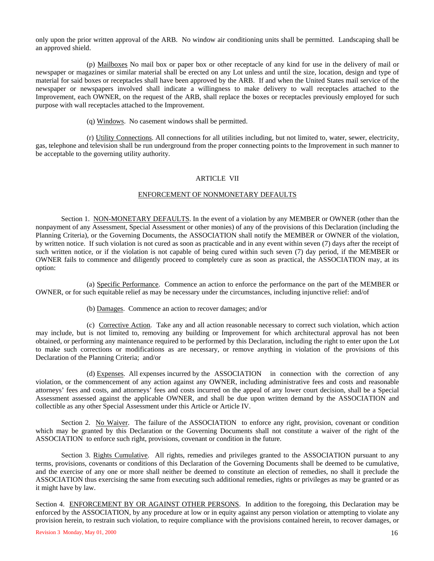only upon the prior written approval of the ARB. No window air conditioning units shall be permitted. Landscaping shall be an approved shield.

(p) Mailboxes No mail box or paper box or other receptacle of any kind for use in the delivery of mail or newspaper or magazines or similar material shall be erected on any Lot unless and until the size, location, design and type of material for said boxes or receptacles shall have been approved by the ARB. If and when the United States mail service of the newspaper or newspapers involved shall indicate a willingness to make delivery to wall receptacles attached to the Improvement, each OWNER, on the request of the ARB, shall replace the boxes or receptacles previously employed for such purpose with wall receptacles attached to the Improvement.

(q) Windows. No casement windows shall be permitted.

(r) Utility Connections. All connections for all utilities including, but not limited to, water, sewer, electricity, gas, telephone and television shall be run underground from the proper connecting points to the Improvement in such manner to be acceptable to the governing utility authority.

### ARTICLE VII

### ENFORCEMENT OF NONMONETARY DEFAULTS

Section 1. NON-MONETARY DEFAULTS. In the event of a violation by any MEMBER or OWNER (other than the nonpayment of any Assessment, Special Assessment or other monies) of any of the provisions of this Declaration (including the Planning Criteria), or the Governing Documents, the ASSOCIATION shall notify the MEMBER or OWNER of the violation, by written notice. If such violation is not cured as soon as practicable and in any event within seven (7) days after the receipt of such written notice, or if the violation is not capable of being cured within such seven (7) day period, if the MEMBER or OWNER fails to commence and diligently proceed to completely cure as soon as practical, the ASSOCIATION may, at its option:

(a) Specific Performance. Commence an action to enforce the performance on the part of the MEMBER or OWNER, or for such equitable relief as may be necessary under the circumstances, including injunctive relief: and/of

(b) Damages. Commence an action to recover damages; and/or

(c) Corrective Action. Take any and all action reasonable necessary to correct such violation, which action may include, but is not limited to, removing any building or Improvement for which architectural approval has not been obtained, or performing any maintenance required to be performed by this Declaration, including the right to enter upon the Lot to make such corrections or modifications as are necessary, or remove anything in violation of the provisions of this Declaration of the Planning Criteria; and/or

(d) Expenses. All expenses incurred by the ASSOCIATION in connection with the correction of any violation, or the commencement of any action against any OWNER, including administrative fees and costs and reasonable attorneys' fees and costs, and attorneys' fees and costs incurred on the appeal of any lower court decision, shall be a Special Assessment assessed against the applicable OWNER, and shall be due upon written demand by the ASSOCIATION and collectible as any other Special Assessment under this Article or Article IV.

Section 2. No Waiver. The failure of the ASSOCIATION to enforce any right, provision, covenant or condition which may be granted by this Declaration or the Governing Documents shall not constitute a waiver of the right of the ASSOCIATION to enforce such right, provisions, covenant or condition in the future.

Section 3. Rights Cumulative. All rights, remedies and privileges granted to the ASSOCIATION pursuant to any terms, provisions, covenants or conditions of this Declaration of the Governing Documents shall be deemed to be cumulative, and the exercise of any one or more shall neither be deemed to constitute an election of remedies, no shall it preclude the ASSOCIATION thus exercising the same from executing such additional remedies, rights or privileges as may be granted or as it might have by law.

Section 4. ENFORCEMENT BY OR AGAINST OTHER PERSONS. In addition to the foregoing, this Declaration may be enforced by the ASSOCIATION, by any procedure at low or in equity against any person violation or attempting to violate any provision herein, to restrain such violation, to require compliance with the provisions contained herein, to recover damages, or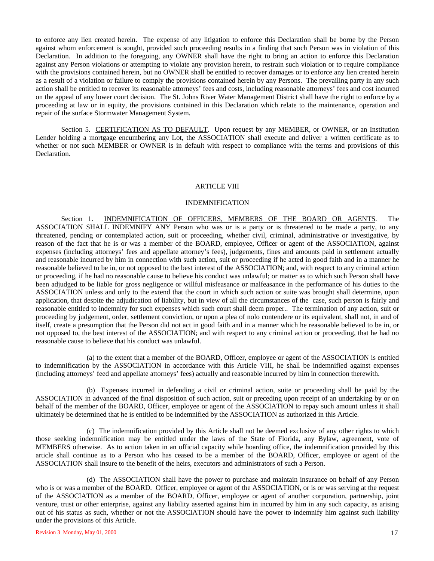to enforce any lien created herein. The expense of any litigation to enforce this Declaration shall be borne by the Person against whom enforcement is sought, provided such proceeding results in a finding that such Person was in violation of this Declaration. In addition to the foregoing, any OWNER shall have the right to bring an action to enforce this Declaration against any Person violations or attempting to violate any provision herein, to restrain such violation or to require compliance with the provisions contained herein, but no OWNER shall be entitled to recover damages or to enforce any lien created herein as a result of a violation or failure to comply the provisions contained herein by any Persons. The prevailing party in any such action shall be entitled to recover its reasonable attorneys' fees and costs, including reasonable attorneys' fees and cost incurred on the appeal of any lower court decision. The St. Johns River Water Management District shall have the right to enforce by a proceeding at law or in equity, the provisions contained in this Declaration which relate to the maintenance, operation and repair of the surface Stormwater Management System.

Section 5. CERTIFICATION AS TO DEFAULT. Upon request by any MEMBER, or OWNER, or an Institution Lender holding a mortgage encumbering any Lot, the ASSOCIATION shall execute and deliver a written certificate as to whether or not such MEMBER or OWNER is in default with respect to compliance with the terms and provisions of this Declaration.

#### ARTICLE VIII

#### INDEMNIFICATION

Section 1. INDEMNIFICATION OF OFFICERS, MEMBERS OF THE BOARD OR AGENTS. The ASSOCIATION SHALL INDEMNIFY ANY Person who was or is a party or is threatened to be made a party, to any threatened, pending or contemplated action, suit or proceeding, whether civil, criminal, administrative or investigative, by reason of the fact that he is or was a member of the BOARD, employee, Officer or agent of the ASSOCIATION, against expenses (including attorneys' fees and appellate attorney's fees), judgements, fines and amounts paid in settlement actually and reasonable incurred by him in connection with such action, suit or proceeding if he acted in good faith and in a manner he reasonable believed to be in, or not opposed to the best interest of the ASSOCIATION; and, with respect to any criminal action or proceeding, if he had no reasonable cause to believe his conduct was unlawful; or matter as to which such Person shall have been adjudged to be liable for gross negligence or willful misfeasance or malfeasance in the performance of his duties to the ASSOCIATION unless and only to the extend that the court in which such action or suite was brought shall determine, upon application, that despite the adjudication of liability, but in view of all the circumstances of the case, such person is fairly and reasonable entitled to indemnity for such expenses which such court shall deem proper.. The termination of any action, suit or proceeding by judgement, order, settlement conviction, or upon a plea of nolo contendere or its equivalent, shall not, in and of itself, create a presumption that the Person did not act in good faith and in a manner which he reasonable believed to be in, or not opposed to, the best interest of the ASSOCIATION; and with respect to any criminal action or proceeding, that he had no reasonable cause to believe that his conduct was unlawful.

(a) to the extent that a member of the BOARD, Officer, employee or agent of the ASSOCIATION is entitled to indemnification by the ASSOCIATION in accordance with this Article VIII, he shall be indemnified against expenses (including attorneys' feed and appellate attorneys' fees) actually and reasonable incurred by him in connection therewith.

(b) Expenses incurred in defending a civil or criminal action, suite or proceeding shall be paid by the ASSOCIATION in advanced of the final disposition of such action, suit or preceding upon receipt of an undertaking by or on behalf of the member of the BOARD, Officer, employee or agent of the ASSOCIATION to repay such amount unless it shall ultimately be determined that he is entitled to be indemnified by the ASSOCIATION as authorized in this Article.

(c) The indemnification provided by this Article shall not be deemed exclusive of any other rights to which those seeking indemnification may be entitled under the laws of the State of Florida, any Bylaw, agreement, vote of MEMBERS otherwise. As to action taken in an official capacity while hoarding office, the indemnification provided by this article shall continue as to a Person who has ceased to be a member of the BOARD, Officer, employee or agent of the ASSOCIATION shall insure to the benefit of the heirs, executors and administrators of such a Person.

(d) The ASSOCIATION shall have the power to purchase and maintain insurance on behalf of any Person who is or was a member of the BOARD. Officer, employee or agent of the ASSOCIATION, or is or was serving at the request of the ASSOCIATION as a member of the BOARD, Officer, employee or agent of another corporation, partnership, joint venture, trust or other enterprise, against any liability asserted against him in incurred by him in any such capacity, as arising out of his status as such, whether or not the ASSOCIATION should have the power to indemnify him against such liability under the provisions of this Article.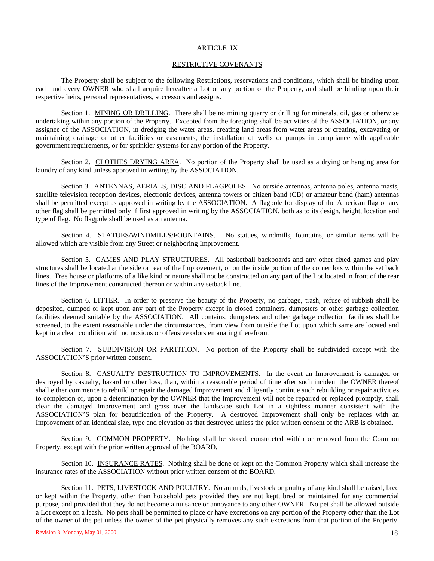#### ARTICLE IX

#### RESTRICTIVE COVENANTS

The Property shall be subject to the following Restrictions, reservations and conditions, which shall be binding upon each and every OWNER who shall acquire hereafter a Lot or any portion of the Property, and shall be binding upon their respective heirs, personal representatives, successors and assigns.

Section 1. MINING OR DRILLING. There shall be no mining quarry or drilling for minerals, oil, gas or otherwise undertaking within any portion of the Property. Excepted from the foregoing shall be activities of the ASSOCIATION, or any assignee of the ASSOCIATION, in dredging the water areas, creating land areas from water areas or creating, excavating or maintaining drainage or other facilities or easements, the installation of wells or pumps in compliance with applicable government requirements, or for sprinkler systems for any portion of the Property.

Section 2. CLOTHES DRYING AREA. No portion of the Property shall be used as a drying or hanging area for laundry of any kind unless approved in writing by the ASSOCIATION.

Section 3. ANTENNAS, AERIALS, DISC AND FLAGPOLES. No outside antennas, antenna poles, antenna masts, satellite television reception devices, electronic devices, antenna towers or citizen band (CB) or amateur band (ham) antennas shall be permitted except as approved in writing by the ASSOCIATION. A flagpole for display of the American flag or any other flag shall be permitted only if first approved in writing by the ASSOCIATION, both as to its design, height, location and type of flag. No flagpole shall be used as an antenna.

Section 4. STATUES/WINDMILLS/FOUNTAINS. No statues, windmills, fountains, or similar items will be allowed which are visible from any Street or neighboring Improvement.

Section 5. GAMES AND PLAY STRUCTURES. All basketball backboards and any other fixed games and play structures shall be located at the side or rear of the Improvement, or on the inside portion of the corner lots within the set back lines. Tree house or platforms of a like kind or nature shall not be constructed on any part of the Lot located in front of the rear lines of the Improvement constructed thereon or within any setback line.

Section 6. LITTER. In order to preserve the beauty of the Property, no garbage, trash, refuse of rubbish shall be deposited, dumped or kept upon any part of the Property except in closed containers, dumpsters or other garbage collection facilities deemed suitable by the ASSOCIATION. All contains, dumpsters and other garbage collection facilities shall be screened, to the extent reasonable under the circumstances, from view from outside the Lot upon which same are located and kept in a clean condition with no noxious or offensive odors emanating therefrom.

Section 7. SUBDIVISION OR PARTITION. No portion of the Property shall be subdivided except with the ASSOCIATION'S prior written consent.

Section 8. CASUALTY DESTRUCTION TO IMPROVEMENTS. In the event an Improvement is damaged or destroyed by casualty, hazard or other loss, than, within a reasonable period of time after such incident the OWNER thereof shall either commence to rebuild or repair the damaged Improvement and diligently continue such rebuilding or repair activities to completion or, upon a determination by the OWNER that the Improvement will not be repaired or replaced promptly, shall clear the damaged Improvement and grass over the landscape such Lot in a sightless manner consistent with the ASSOCIATION'S plan for beautification of the Property. A destroyed Improvement shall only be replaces with an Improvement of an identical size, type and elevation as that destroyed unless the prior written consent of the ARB is obtained.

Section 9. COMMON PROPERTY. Nothing shall be stored, constructed within or removed from the Common Property, except with the prior written approval of the BOARD.

Section 10. INSURANCE RATES. Nothing shall be done or kept on the Common Property which shall increase the insurance rates of the ASSOCIATION without prior written consent of the BOARD.

Section 11. PETS, LIVESTOCK AND POULTRY. No animals, livestock or poultry of any kind shall be raised, bred or kept within the Property, other than household pets provided they are not kept, bred or maintained for any commercial purpose, and provided that they do not become a nuisance or annoyance to any other OWNER. No pet shall be allowed outside a Lot except on a leash. No pets shall be permitted to place or have excretions on any portion of the Property other than the Lot of the owner of the pet unless the owner of the pet physically removes any such excretions from that portion of the Property.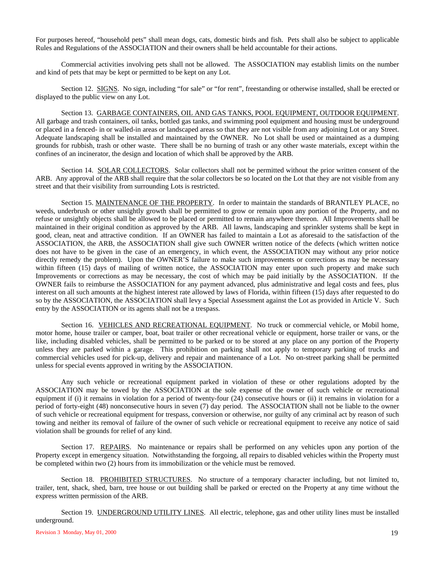For purposes hereof, "household pets" shall mean dogs, cats, domestic birds and fish. Pets shall also be subject to applicable Rules and Regulations of the ASSOCIATION and their owners shall be held accountable for their actions.

Commercial activities involving pets shall not be allowed. The ASSOCIATION may establish limits on the number and kind of pets that may be kept or permitted to be kept on any Lot.

Section 12. SIGNS. No sign, including "for sale" or "for rent", freestanding or otherwise installed, shall be erected or displayed to the public view on any Lot.

Section 13. GARBAGE CONTAINERS, OIL AND GAS TANKS, POOL EQUIPMENT, OUTDOOR EQUIPMENT. All garbage and trash containers, oil tanks, bottled gas tanks, and swimming pool equipment and housing must be underground or placed in a fenced- in or walled-in areas or landscaped areas so that they are not visible from any adjoining Lot or any Street. Adequate landscaping shall be installed and maintained by the OWNER. No Lot shall be used or maintained as a dumping grounds for rubbish, trash or other waste. There shall be no burning of trash or any other waste materials, except within the confines of an incinerator, the design and location of which shall be approved by the ARB.

Section 14. SOLAR COLLECTORS. Solar collectors shall not be permitted without the prior written consent of the ARB. Any approval of the ARB shall require that the solar collectors be so located on the Lot that they are not visible from any street and that their visibility from surrounding Lots is restricted.

Section 15. MAINTENANCE OF THE PROPERTY. In order to maintain the standards of BRANTLEY PLACE, no weeds, underbrush or other unsightly growth shall be permitted to grow or remain upon any portion of the Property, and no refuse or unsightly objects shall be allowed to be placed or permitted to remain anywhere thereon. All Improvements shall be maintained in their original condition as approved by the ARB. All lawns, landscaping and sprinkler systems shall be kept in good, clean, neat and attractive condition. If an OWNER has failed to maintain a Lot as aforesaid to the satisfaction of the ASSOCIATION, the ARB, the ASSOCIATION shall give such OWNER written notice of the defects (which written notice does not have to be given in the case of an emergency, in which event, the ASSOCIATION may without any prior notice directly remedy the problem). Upon the OWNER'S failure to make such improvements or corrections as may be necessary within fifteen (15) days of mailing of written notice, the ASSOCIATION may enter upon such property and make such Improvements or corrections as may be necessary, the cost of which may be paid initially by the ASSOCIATION. If the OWNER fails to reimburse the ASSOCIATION for any payment advanced, plus administrative and legal costs and fees, plus interest on all such amounts at the highest interest rate allowed by laws of Florida, within fifteen (15) days after requested to do so by the ASSOCIATION, the ASSOCIATION shall levy a Special Assessment against the Lot as provided in Article V. Such entry by the ASSOCIATION or its agents shall not be a trespass.

Section 16. VEHICLES AND RECREATIONAL EQUIPMENT. No truck or commercial vehicle, or Mobil home, motor home, house trailer or camper, boat, boat trailer or other recreational vehicle or equipment, horse trailer or vans, or the like, including disabled vehicles, shall be permitted to be parked or to be stored at any place on any portion of the Property unless they are parked within a garage. This prohibition on parking shall not apply to temporary parking of trucks and commercial vehicles used for pick-up, delivery and repair and maintenance of a Lot. No on-street parking shall be permitted unless for special events approved in writing by the ASSOCIATION.

Any such vehicle or recreational equipment parked in violation of these or other regulations adopted by the ASSOCIATION may be towed by the ASSOCIATION at the sole expense of the owner of such vehicle or recreational equipment if (i) it remains in violation for a period of twenty-four (24) consecutive hours or (ii) it remains in violation for a period of forty-eight (48) nonconsecutive hours in seven (7) day period. The ASSOCIATION shall not be liable to the owner of such vehicle or recreational equipment for trespass, conversion or otherwise, nor guilty of any criminal act by reason of such towing and neither its removal of failure of the owner of such vehicle or recreational equipment to receive any notice of said violation shall be grounds for relief of any kind.

Section 17. REPAIRS. No maintenance or repairs shall be performed on any vehicles upon any portion of the Property except in emergency situation. Notwithstanding the forgoing, all repairs to disabled vehicles within the Property must be completed within two (2) hours from its immobilization or the vehicle must be removed.

Section 18. PROHIBITED STRUCTURES. No structure of a temporary character including, but not limited to, trailer, tent, shack, shed, barn, tree house or out building shall be parked or erected on the Property at any time without the express written permission of the ARB.

Section 19. UNDERGROUND UTILITY LINES. All electric, telephone, gas and other utility lines must be installed underground.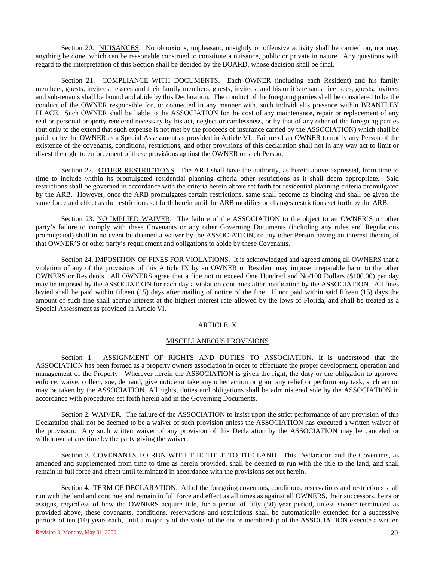Section 20. NUISANCES. No obnoxious, unpleasant, unsightly or offensive activity shall be carried on, nor may anything be done, which can be reasonable construed to constitute a nuisance, public or private in nature. Any questions with regard to the interpretation of this Section shall be decided by the BOARD, whose decision shall be final.

Section 21. COMPLIANCE WITH DOCUMENTS. Each OWNER (including each Resident) and his family members, guests, invitees; lessees and their family members, guests, invitees; and his or it's tenants, licensees, guests, invitees and sub-tenants shall be bound and abide by this Declaration. The conduct of the foregoing parties shall be considered to be the conduct of the OWNER responsible for, or connected in any manner with, such individual's presence within BRANTLEY PLACE. Such OWNER shall be liable to the ASSOCIATION for the cost of any maintenance, repair or replacement of any real or personal property rendered necessary by his act, neglect or carelessness, or by that of any other of the foregoing parties (but only to the extend that such expense is not met by the proceeds of insurance carried by the ASSOCIATION) which shall be paid for by the OWNER as a Special Assessment as provided in Article VI. Failure of an OWNER to notify any Person of the existence of the covenants, conditions, restrictions, and other provisions of this declaration shall not in any way act to limit or divest the right to enforcement of these provisions against the OWNER or such Person.

Section 22. OTHER RESTRICTIONS. The ARB shall have the authority, as herein above expressed, from time to time to include within its promulgated residential planning criteria other restrictions as it shall deem appropriate. Said restrictions shall be governed in accordance with the criteria herein above set forth for residential planning criteria promulgated by the ARB. However, once the ARB promulgates certain restrictions, same shall become as binding and shall be given the same force and effect as the restrictions set forth herein until the ARB modifies or changes restrictions set forth by the ARB.

Section 23. NO IMPLIED WAIVER. The failure of the ASSOCIATION to the object to an OWNER'S or other party's failure to comply with these Covenants or any other Governing Documents (including any rules and Regulations promulgated) shall in no event be deemed a waiver by the ASSOCIATION, or any other Person having an interest therein, of that OWNER'S or other party's requirement and obligations to abide by these Covenants.

Section 24. IMPOSITION OF FINES FOR VIOLATIONS. It is acknowledged and agreed among all OWNERS that a violation of any of the provisions of this Article IX by an OWNER or Resident may impose irreparable harm to the other OWNERS or Residents. All OWNERS agree that a fine not to exceed One Hundred and No/100 Dollars (\$100.00) per day may be imposed by the ASSOCIATION for each day a violation continues after notification by the ASSOCIATION. All fines levied shall be paid within fifteen (15) days after mailing of notice of the fine. If not paid within said fifteen (15) days the amount of such fine shall accrue interest at the highest interest rate allowed by the lows of Florida, and shall be treated as a Special Assessment as provided in Article VI.

#### ARTICLE X

#### MISCELLANEOUS PROVISIONS

Section 1. ASSIGNMENT OF RIGHTS AND DUTIES TO ASSOCIATION. It is understood that the ASSOCIATION has been formed as a property owners association in order to effectuate the proper development, operation and management of the Property. Wherever herein the ASSOCIATION is given the right, the duty or the obligation to approve, enforce, waive, collect, sue, demand, give notice or take any other action or grant any relief or perform any task, such action may be taken by the ASSOCIATION. All rights, duties and obligations shall be administered sole by the ASSOCIATION in accordance with procedures set forth herein and in the Governing Documents.

Section 2. WAIVER. The failure of the ASSOCIATION to insist upon the strict performance of any provision of this Declaration shall not be deemed to be a waiver of such provision unless the ASSOCIATION has executed a written waiver of the provision. Any such written waiver of any provision of this Declaration by the ASSOCIATION may be canceled or withdrawn at any time by the party giving the waiver.

Section 3. COVENANTS TO RUN WITH THE TITLE TO THE LAND. This Declaration and the Covenants, as amended and supplemented from time to time as herein provided, shall be deemed to run with the title to the land, and shall remain in full force and effect until terminated in accordance with the provisions set out herein.

Section 4. TERM OF DECLARATION. All of the foregoing covenants, conditions, reservations and restrictions shall run with the land and continue and remain in full force and effect as all times as against all OWNERS, their successors, heirs or assigns, regardless of how the OWNERS acquire title, for a period of fifty (50) year period, unless sooner terminated as provided above, these covenants, conditions, reservations and restrictions shall be automatically extended for a successive periods of ten (10) years each, until a majority of the votes of the entire membership of the ASSOCIATION execute a written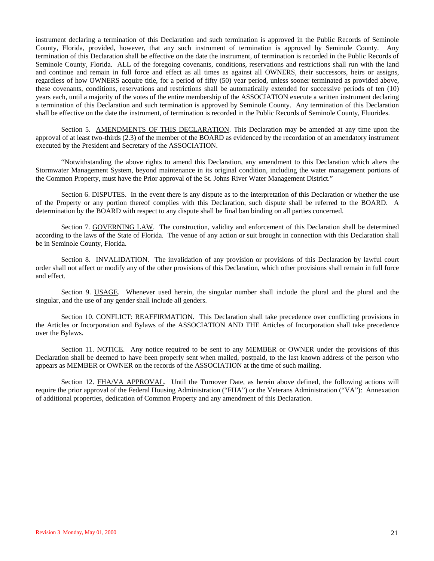instrument declaring a termination of this Declaration and such termination is approved in the Public Records of Seminole County, Florida, provided, however, that any such instrument of termination is approved by Seminole County. Any termination of this Declaration shall be effective on the date the instrument, of termination is recorded in the Public Records of Seminole County, Florida. ALL of the foregoing covenants, conditions, reservations and restrictions shall run with the land and continue and remain in full force and effect as all times as against all OWNERS, their successors, heirs or assigns, regardless of how OWNERS acquire title, for a period of fifty (50) year period, unless sooner terminated as provided above, these covenants, conditions, reservations and restrictions shall be automatically extended for successive periods of ten (10) years each, until a majority of the votes of the entire membership of the ASSOCIATION execute a written instrument declaring a termination of this Declaration and such termination is approved by Seminole County. Any termination of this Declaration shall be effective on the date the instrument, of termination is recorded in the Public Records of Seminole County, Fluorides.

Section 5. AMENDMENTS OF THIS DECLARATION. This Declaration may be amended at any time upon the approval of at least two-thirds (2.3) of the member of the BOARD as evidenced by the recordation of an amendatory instrument executed by the President and Secretary of the ASSOCIATION.

"Notwithstanding the above rights to amend this Declaration, any amendment to this Declaration which alters the Stormwater Management System, beyond maintenance in its original condition, including the water management portions of the Common Property, must have the Prior approval of the St. Johns River Water Management District."

Section 6. DISPUTES. In the event there is any dispute as to the interpretation of this Declaration or whether the use of the Property or any portion thereof complies with this Declaration, such dispute shall be referred to the BOARD. A determination by the BOARD with respect to any dispute shall be final ban binding on all parties concerned.

Section 7. GOVERNING LAW. The construction, validity and enforcement of this Declaration shall be determined according to the laws of the State of Florida. The venue of any action or suit brought in connection with this Declaration shall be in Seminole County, Florida.

Section 8. INVALIDATION. The invalidation of any provision or provisions of this Declaration by lawful court order shall not affect or modify any of the other provisions of this Declaration, which other provisions shall remain in full force and effect.

Section 9. USAGE. Whenever used herein, the singular number shall include the plural and the plural and the singular, and the use of any gender shall include all genders.

Section 10. CONFLICT: REAFFIRMATION. This Declaration shall take precedence over conflicting provisions in the Articles or Incorporation and Bylaws of the ASSOCIATION AND THE Articles of Incorporation shall take precedence over the Bylaws.

Section 11. NOTICE. Any notice required to be sent to any MEMBER or OWNER under the provisions of this Declaration shall be deemed to have been properly sent when mailed, postpaid, to the last known address of the person who appears as MEMBER or OWNER on the records of the ASSOCIATION at the time of such mailing.

Section 12. FHA/VA APPROVAL. Until the Turnover Date, as herein above defined, the following actions will require the prior approval of the Federal Housing Administration ("FHA") or the Veterans Administration ("VA"): Annexation of additional properties, dedication of Common Property and any amendment of this Declaration.